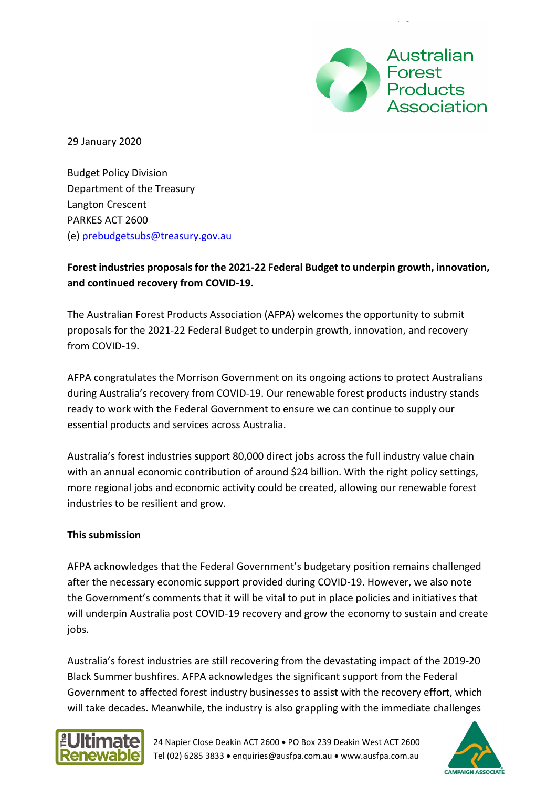

29 January 2020

Budget Policy Division Department of the Treasury Langton Crescent PARKES ACT 2600 (e) [prebudgetsubs@treasury.gov.au](mailto:prebudgetsubs@treasury.gov.au)

# **Forest industries proposals for the 2021-22 Federal Budget to underpin growth, innovation, and continued recovery from COVID-19.**

The Australian Forest Products Association (AFPA) welcomes the opportunity to submit proposals for the 2021-22 Federal Budget to underpin growth, innovation, and recovery from COVID-19.

AFPA congratulates the Morrison Government on its ongoing actions to protect Australians during Australia's recovery from COVID-19. Our renewable forest products industry stands ready to work with the Federal Government to ensure we can continue to supply our essential products and services across Australia.

Australia's forest industries support 80,000 direct jobs across the full industry value chain with an annual economic contribution of around \$24 billion. With the right policy settings, more regional jobs and economic activity could be created, allowing our renewable forest industries to be resilient and grow.

#### **This submission**

AFPA acknowledges that the Federal Government's budgetary position remains challenged after the necessary economic support provided during COVID-19. However, we also note the Government's comments that it will be vital to put in place policies and initiatives that will underpin Australia post COVID-19 recovery and grow the economy to sustain and create jobs.

Australia's forest industries are still recovering from the devastating impact of the 2019-20 Black Summer bushfires. AFPA acknowledges the significant support from the Federal Government to affected forest industry businesses to assist with the recovery effort, which will take decades. Meanwhile, the industry is also grappling with the immediate challenges



24 Napier Close Deakin ACT 2600 • PO Box 239 Deakin West ACT 2600 Tel (02) 6285 3833 • enquiries@ausfpa.com.au • www.ausfpa.com.au

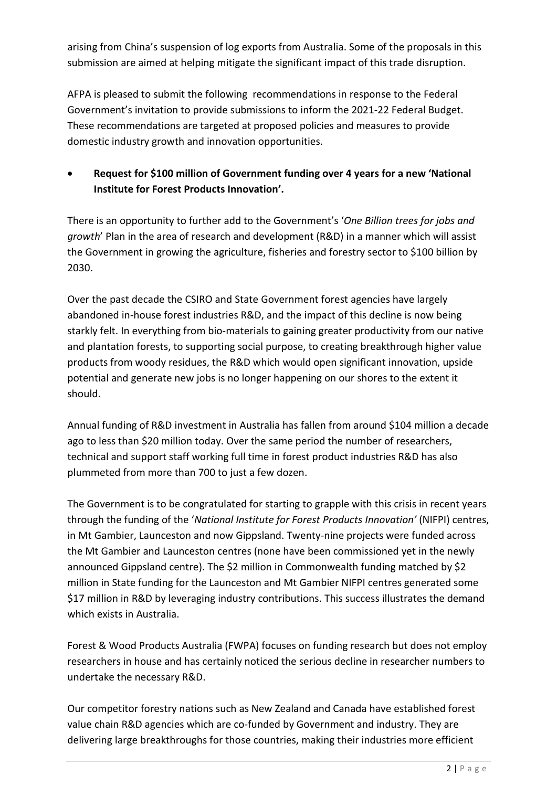arising from China's suspension of log exports from Australia. Some of the proposals in this submission are aimed at helping mitigate the significant impact of this trade disruption.

AFPA is pleased to submit the following recommendations in response to the Federal Government's invitation to provide submissions to inform the 2021-22 Federal Budget. These recommendations are targeted at proposed policies and measures to provide domestic industry growth and innovation opportunities.

• **Request for \$100 million of Government funding over 4 years for a new 'National Institute for Forest Products Innovation'.**

There is an opportunity to further add to the Government's '*One Billion trees for jobs and growth*' Plan in the area of research and development (R&D) in a manner which will assist the Government in growing the agriculture, fisheries and forestry sector to \$100 billion by 2030.

Over the past decade the CSIRO and State Government forest agencies have largely abandoned in-house forest industries R&D, and the impact of this decline is now being starkly felt. In everything from bio-materials to gaining greater productivity from our native and plantation forests, to supporting social purpose, to creating breakthrough higher value products from woody residues, the R&D which would open significant innovation, upside potential and generate new jobs is no longer happening on our shores to the extent it should.

Annual funding of R&D investment in Australia has fallen from around \$104 million a decade ago to less than \$20 million today. Over the same period the number of researchers, technical and support staff working full time in forest product industries R&D has also plummeted from more than 700 to just a few dozen.

The Government is to be congratulated for starting to grapple with this crisis in recent years through the funding of the '*National Institute for Forest Products Innovation'* (NIFPI) centres, in Mt Gambier, Launceston and now Gippsland. Twenty-nine projects were funded across the Mt Gambier and Launceston centres (none have been commissioned yet in the newly announced Gippsland centre). The \$2 million in Commonwealth funding matched by \$2 million in State funding for the Launceston and Mt Gambier NIFPI centres generated some \$17 million in R&D by leveraging industry contributions. This success illustrates the demand which exists in Australia.

Forest & Wood Products Australia (FWPA) focuses on funding research but does not employ researchers in house and has certainly noticed the serious decline in researcher numbers to undertake the necessary R&D.

Our competitor forestry nations such as New Zealand and Canada have established forest value chain R&D agencies which are co-funded by Government and industry. They are delivering large breakthroughs for those countries, making their industries more efficient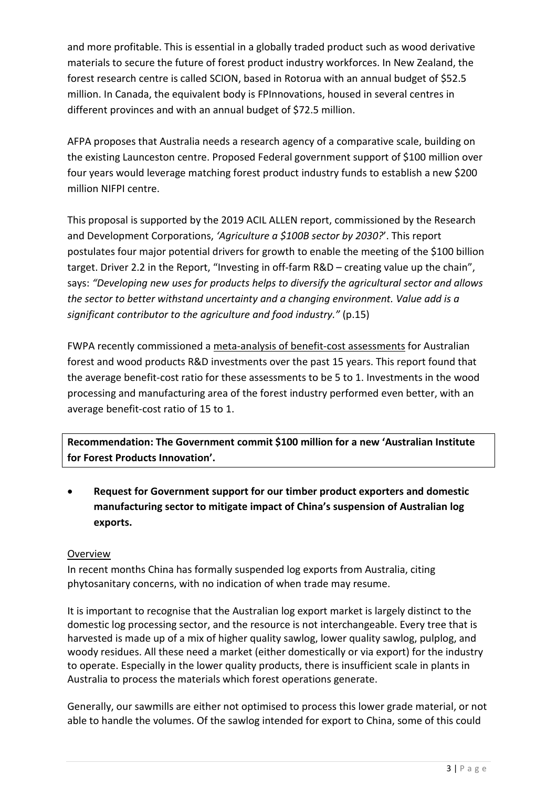and more profitable. This is essential in a globally traded product such as wood derivative materials to secure the future of forest product industry workforces. In New Zealand, the forest research centre is called SCION, based in Rotorua with an annual budget of \$52.5 million. In Canada, the equivalent body is FPInnovations, housed in several centres in different provinces and with an annual budget of \$72.5 million.

AFPA proposes that Australia needs a research agency of a comparative scale, building on the existing Launceston centre. Proposed Federal government support of \$100 million over four years would leverage matching forest product industry funds to establish a new \$200 million NIFPI centre.

This proposal is supported by the 2019 ACIL ALLEN report, commissioned by the Research and Development Corporations, *'Agriculture a \$100B sector by 2030?*'. This report postulates four major potential drivers for growth to enable the meeting of the \$100 billion target. Driver 2.2 in the Report, "Investing in off-farm R&D – creating value up the chain", says: *"Developing new uses for products helps to diversify the agricultural sector and allows the sector to better withstand uncertainty and a changing environment. Value add is a significant contributor to the agriculture and food industry."* (p.15)

FWPA recently commissioned a [meta-analysis of benefit-cost assessments](https://www.fwpa.com.au/resources/reports/market-access/1988-a-meta-analysis-of-benefit-cost-assessments-for-australian-forest-and-wood-products-rd-e-investments-pre495-1920.html) for Australian forest and wood products R&D investments over the past 15 years. This report found that the average benefit-cost ratio for these assessments to be 5 to 1. Investments in the wood processing and manufacturing area of the forest industry performed even better, with an average benefit-cost ratio of 15 to 1.

**Recommendation: The Government commit \$100 million for a new 'Australian Institute for Forest Products Innovation'.**

• **Request for Government support for our timber product exporters and domestic manufacturing sector to mitigate impact of China's suspension of Australian log exports.**

#### Overview

In recent months China has formally suspended log exports from Australia, citing phytosanitary concerns, with no indication of when trade may resume.

It is important to recognise that the Australian log export market is largely distinct to the domestic log processing sector, and the resource is not interchangeable. Every tree that is harvested is made up of a mix of higher quality sawlog, lower quality sawlog, pulplog, and woody residues. All these need a market (either domestically or via export) for the industry to operate. Especially in the lower quality products, there is insufficient scale in plants in Australia to process the materials which forest operations generate.

Generally, our sawmills are either not optimised to process this lower grade material, or not able to handle the volumes. Of the sawlog intended for export to China, some of this could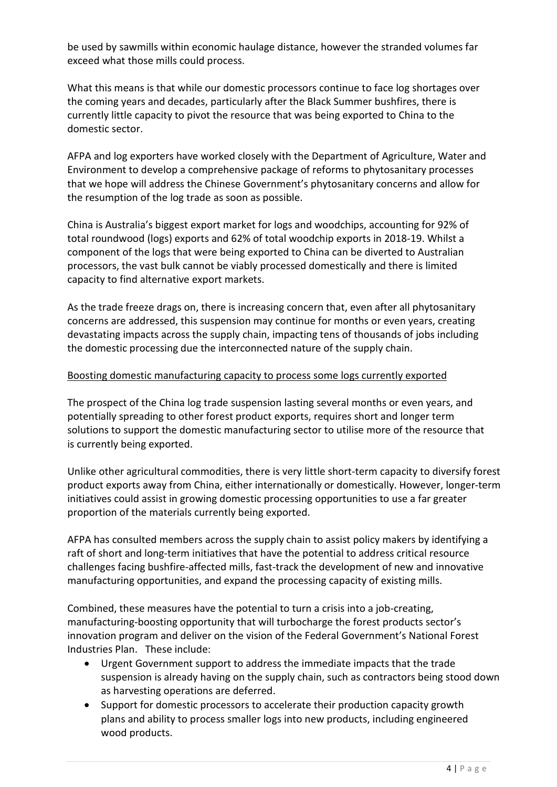be used by sawmills within economic haulage distance, however the stranded volumes far exceed what those mills could process.

What this means is that while our domestic processors continue to face log shortages over the coming years and decades, particularly after the Black Summer bushfires, there is currently little capacity to pivot the resource that was being exported to China to the domestic sector.

AFPA and log exporters have worked closely with the Department of Agriculture, Water and Environment to develop a comprehensive package of reforms to phytosanitary processes that we hope will address the Chinese Government's phytosanitary concerns and allow for the resumption of the log trade as soon as possible.

China is Australia's biggest export market for logs and woodchips, accounting for 92% of total roundwood (logs) exports and 62% of total woodchip exports in 2018-19. Whilst a component of the logs that were being exported to China can be diverted to Australian processors, the vast bulk cannot be viably processed domestically and there is limited capacity to find alternative export markets.

As the trade freeze drags on, there is increasing concern that, even after all phytosanitary concerns are addressed, this suspension may continue for months or even years, creating devastating impacts across the supply chain, impacting tens of thousands of jobs including the domestic processing due the interconnected nature of the supply chain.

#### Boosting domestic manufacturing capacity to process some logs currently exported

The prospect of the China log trade suspension lasting several months or even years, and potentially spreading to other forest product exports, requires short and longer term solutions to support the domestic manufacturing sector to utilise more of the resource that is currently being exported.

Unlike other agricultural commodities, there is very little short-term capacity to diversify forest product exports away from China, either internationally or domestically. However, longer-term initiatives could assist in growing domestic processing opportunities to use a far greater proportion of the materials currently being exported.

AFPA has consulted members across the supply chain to assist policy makers by identifying a raft of short and long-term initiatives that have the potential to address critical resource challenges facing bushfire-affected mills, fast-track the development of new and innovative manufacturing opportunities, and expand the processing capacity of existing mills.

Combined, these measures have the potential to turn a crisis into a job-creating, manufacturing-boosting opportunity that will turbocharge the forest products sector's innovation program and deliver on the vision of the Federal Government's National Forest Industries Plan. These include:

- Urgent Government support to address the immediate impacts that the trade suspension is already having on the supply chain, such as contractors being stood down as harvesting operations are deferred.
- Support for domestic processors to accelerate their production capacity growth plans and ability to process smaller logs into new products, including engineered wood products.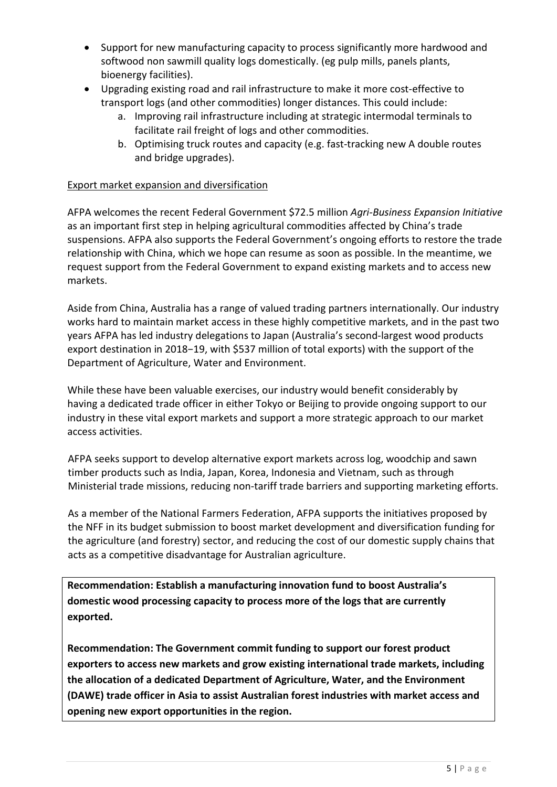- Support for new manufacturing capacity to process significantly more hardwood and softwood non sawmill quality logs domestically. (eg pulp mills, panels plants, bioenergy facilities).
- Upgrading existing road and rail infrastructure to make it more cost-effective to transport logs (and other commodities) longer distances. This could include:
	- a. Improving rail infrastructure including at strategic intermodal terminals to facilitate rail freight of logs and other commodities.
	- b. Optimising truck routes and capacity (e.g. fast-tracking new A double routes and bridge upgrades).

### Export market expansion and diversification

AFPA welcomes the recent Federal Government \$72.5 million *Agri-Business Expansion Initiative* as an important first step in helping agricultural commodities affected by China's trade suspensions. AFPA also supports the Federal Government's ongoing efforts to restore the trade relationship with China, which we hope can resume as soon as possible. In the meantime, we request support from the Federal Government to expand existing markets and to access new markets.

Aside from China, Australia has a range of valued trading partners internationally. Our industry works hard to maintain market access in these highly competitive markets, and in the past two years AFPA has led industry delegations to Japan (Australia's second-largest wood products export destination in 2018−19, with \$537 million of total exports) with the support of the Department of Agriculture, Water and Environment.

While these have been valuable exercises, our industry would benefit considerably by having a dedicated trade officer in either Tokyo or Beijing to provide ongoing support to our industry in these vital export markets and support a more strategic approach to our market access activities.

AFPA seeks support to develop alternative export markets across log, woodchip and sawn timber products such as India, Japan, Korea, Indonesia and Vietnam, such as through Ministerial trade missions, reducing non-tariff trade barriers and supporting marketing efforts.

As a member of the National Farmers Federation, AFPA supports the initiatives proposed by the NFF in its budget submission to boost market development and diversification funding for the agriculture (and forestry) sector, and reducing the cost of our domestic supply chains that acts as a competitive disadvantage for Australian agriculture.

**Recommendation: Establish a manufacturing innovation fund to boost Australia's domestic wood processing capacity to process more of the logs that are currently exported.**

**Recommendation: The Government commit funding to support our forest product exporters to access new markets and grow existing international trade markets, including the allocation of a dedicated Department of Agriculture, Water, and the Environment (DAWE) trade officer in Asia to assist Australian forest industries with market access and opening new export opportunities in the region.**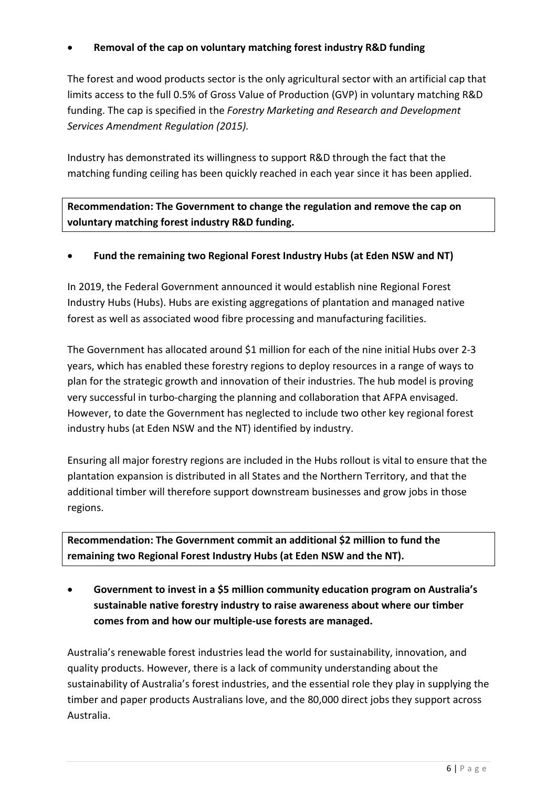# • **Removal of the cap on voluntary matching forest industry R&D funding**

The forest and wood products sector is the only agricultural sector with an artificial cap that limits access to the full 0.5% of Gross Value of Production (GVP) in voluntary matching R&D funding. The cap is specified in the *Forestry Marketing and Research and Development Services Amendment Regulation (2015).*

Industry has demonstrated its willingness to support R&D through the fact that the matching funding ceiling has been quickly reached in each year since it has been applied.

**Recommendation: The Government to change the regulation and remove the cap on voluntary matching forest industry R&D funding.**

# • **Fund the remaining two Regional Forest Industry Hubs (at Eden NSW and NT)**

In 2019, the Federal Government announced it would establish nine Regional Forest Industry Hubs (Hubs). Hubs are existing aggregations of plantation and managed native forest as well as associated wood fibre processing and manufacturing facilities.

The Government has allocated around \$1 million for each of the nine initial Hubs over 2-3 years, which has enabled these forestry regions to deploy resources in a range of ways to plan for the strategic growth and innovation of their industries. The hub model is proving very successful in turbo-charging the planning and collaboration that AFPA envisaged. However, to date the Government has neglected to include two other key regional forest industry hubs (at Eden NSW and the NT) identified by industry.

Ensuring all major forestry regions are included in the Hubs rollout is vital to ensure that the plantation expansion is distributed in all States and the Northern Territory, and that the additional timber will therefore support downstream businesses and grow jobs in those regions.

**Recommendation: The Government commit an additional \$2 million to fund the remaining two Regional Forest Industry Hubs (at Eden NSW and the NT).**

• **Government to invest in a \$5 million community education program on Australia's sustainable native forestry industry to raise awareness about where our timber comes from and how our multiple-use forests are managed.**

Australia's renewable forest industries lead the world for sustainability, innovation, and quality products. However, there is a lack of community understanding about the sustainability of Australia's forest industries, and the essential role they play in supplying the timber and paper products Australians love, and the 80,000 direct jobs they support across Australia.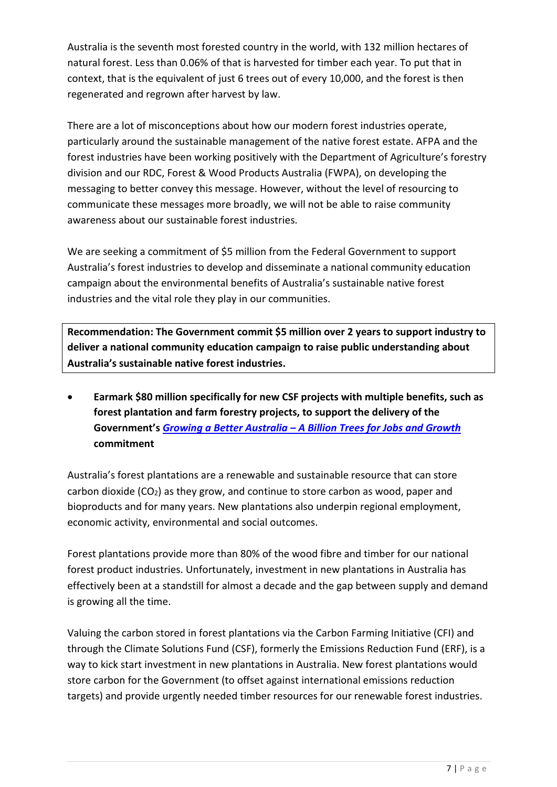Australia is the seventh most forested country in the world, with 132 million hectares of natural forest. Less than 0.06% of that is harvested for timber each year. To put that in context, that is the equivalent of just 6 trees out of every 10,000, and the forest is then regenerated and regrown after harvest by law.

There are a lot of misconceptions about how our modern forest industries operate, particularly around the sustainable management of the native forest estate. AFPA and the forest industries have been working positively with the Department of Agriculture's forestry division and our RDC, Forest & Wood Products Australia (FWPA), on developing the messaging to better convey this message. However, without the level of resourcing to communicate these messages more broadly, we will not be able to raise community awareness about our sustainable forest industries.

We are seeking a commitment of \$5 million from the Federal Government to support Australia's forest industries to develop and disseminate a national community education campaign about the environmental benefits of Australia's sustainable native forest industries and the vital role they play in our communities.

**Recommendation: The Government commit \$5 million over 2 years to support industry to deliver a national community education campaign to raise public understanding about Australia's sustainable native forest industries.**

• **Earmark \$80 million specifically for new CSF projects with multiple benefits, such as forest plantation and farm forestry projects, to support the delivery of the Government's** *Growing a Better Australia – [A Billion Trees for Jobs and Growth](https://www.agriculture.gov.au/forestry/publications/growing-better-australia)* **commitment**

Australia's forest plantations are a renewable and sustainable resource that can store carbon dioxide  $(CO_2)$  as they grow, and continue to store carbon as wood, paper and bioproducts and for many years. New plantations also underpin regional employment, economic activity, environmental and social outcomes.

Forest plantations provide more than 80% of the wood fibre and timber for our national forest product industries. Unfortunately, investment in new plantations in Australia has effectively been at a standstill for almost a decade and the gap between supply and demand is growing all the time.

Valuing the carbon stored in forest plantations via the Carbon Farming Initiative (CFI) and through the Climate Solutions Fund (CSF), formerly the Emissions Reduction Fund (ERF), is a way to kick start investment in new plantations in Australia. New forest plantations would store carbon for the Government (to offset against international emissions reduction targets) and provide urgently needed timber resources for our renewable forest industries.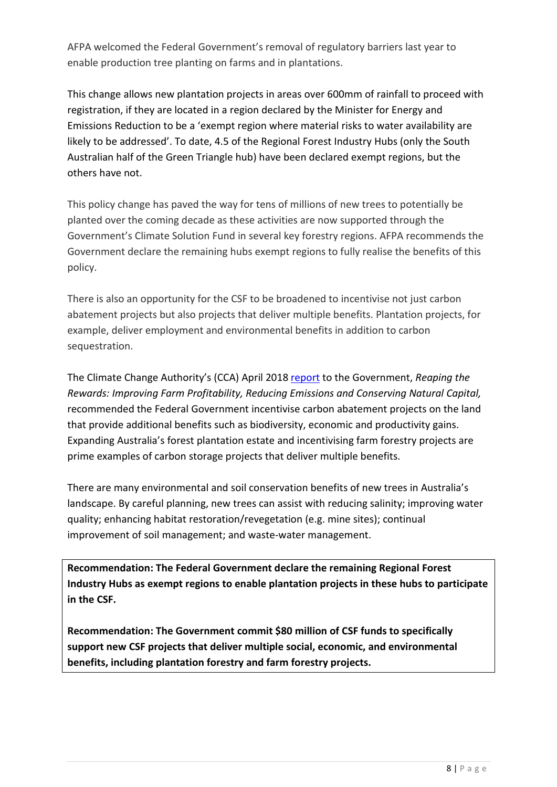AFPA welcomed the Federal Government's removal of regulatory barriers last year to enable production tree planting on farms and in plantations.

This change allows new plantation projects in areas over 600mm of rainfall to proceed with registration, if they are located in a region declared by the Minister for Energy and Emissions Reduction to be a 'exempt region where material risks to water availability are likely to be addressed'. To date, 4.5 of the Regional Forest Industry Hubs (only the South Australian half of the Green Triangle hub) have been declared exempt regions, but the others have not.

This policy change has paved the way for tens of millions of new trees to potentially be planted over the coming decade as these activities are now supported through the Government's Climate Solution Fund in several key forestry regions. AFPA recommends the Government declare the remaining hubs exempt regions to fully realise the benefits of this policy.

There is also an opportunity for the CSF to be broadened to incentivise not just carbon abatement projects but also projects that deliver multiple benefits. Plantation projects, for example, deliver employment and environmental benefits in addition to carbon sequestration.

The Climate Change Authority's (CCA) April 2018 [report](http://climatechangeauthority.gov.au/sites/prod.climatechangeauthority.gov.au/files/files/2018%20Reaping%20the%20Rewards/Final%20Report%20-%20Reaping%20the%20Rewards.pdf) to the Government, *Reaping the Rewards: Improving Farm Profitability, Reducing Emissions and Conserving Natural Capital,* recommended the Federal Government incentivise carbon abatement projects on the land that provide additional benefits such as biodiversity, economic and productivity gains. Expanding Australia's forest plantation estate and incentivising farm forestry projects are prime examples of carbon storage projects that deliver multiple benefits.

There are many environmental and soil conservation benefits of new trees in Australia's landscape. By careful planning, new trees can assist with reducing salinity; improving water quality; enhancing habitat restoration/revegetation (e.g. mine sites); continual improvement of soil management; and waste-water management.

**Recommendation: The Federal Government declare the remaining Regional Forest Industry Hubs as exempt regions to enable plantation projects in these hubs to participate in the CSF.**

**Recommendation: The Government commit \$80 million of CSF funds to specifically support new CSF projects that deliver multiple social, economic, and environmental benefits, including plantation forestry and farm forestry projects.**